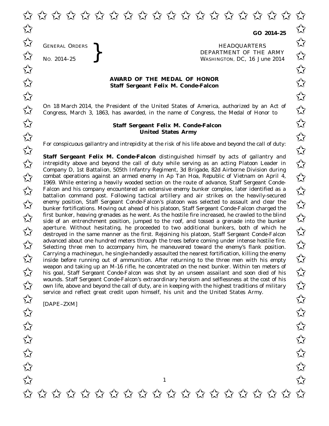✩ ✩ ✩ ✩ ✩ ✩ ✩ ✩ ✩ ✩ ✩ ✩ ✩ ✩ ✩ ✩ ✩ ✩ ✩ ✩  $\overrightarrow{\lambda}$  co 2014-25  $\overrightarrow{\lambda}$ 

**GO 2014–25**

GENERAL ORDERS **}**<br>No. 2014–25 **}**<br>No. 2014–25 **}**<br>RepARTMENT OF THE WASHINGTON, DC, 16 Jul No. 2014-25<br>No. 2014-25<br>No. 2014-25 WASHINGTON, DC, *16 June 2014* ✩ ✩

## **AWARD OF THE MEDAL OF HONOR**<br>
Staff Sergeant Felix M. Conde-Falcon **Staff Sergeant Felix M. Conde-Falcon**

On 18 March 2014, the President of the United States of America, authorized by an Act of  $\sim$  Congress. March 3, 1863, has awarded, in the name of Congress, the Medal of Honor to  $\sim$ Congress, March 3, 1863, has awarded, in the name of Congress, the Medal of Honor to

## **Staff Sergeant Felix M. Conde-Falcon**<del>∧</del> **United States Army** United States Army

For conspicuous gallantry and intrepidity at the risk of his life above and beyond the call of duty:<br>  $\overrightarrow{\lambda}$ 

**Staff Sergeant Felix M. Conde-Falcon** distinguished himself by acts of gallantry and **Staff Sergeant Felix M. Conde-Falcon** distinguished himself by acts of gallantry and<br>intrepidity above and beyond the call of duty while serving as an acting Platoon Leader in Company D, 1st Battalion, 505th Infantry Regiment, 3d Brigade, 82d Airborne Division during company D, 1st Battalion, 505th Infantry Regiment, 3d Brigade, 8zd Alrborne Division during<br>
combat operations against an armed enemy in Ap Tan Hoa, Republic of Vietnam on April 4, 1969. While entering a heavily wooded section on the route of advance, Staff Sergeant Conde-Falcon and his company encountered an extensive enemy bunker complex, later identified as a<br>
Solution command not Following totical artillery and air strikes on the boardiv secured battalion command post. Following tactical artillery and air strikes on the heavily-secured enemy position, Staff Sergeant Conde-Falcon's platoon was selected to assault and clear the  $\sim$ bunker fortifications. Moving out ahead of his platoon, Staff Sergeant Conde-Falcon charged the  $\overline{\mathcal{A}}$  first bunker, heaving grenades as he went. As the hostile fire increased, he crawled to the blind<br>Side of an entreprehment position jumped to the roof and tossed a grenade into the bunker side of an entrenchment position, jumped to the roof, and tossed a grenade into the bunker a perture. Without hesitating, he proceeded to two additional bunkers, both of which he destroved in the same manner as the first. Reioining his platoon. Staff Sergeant Conde-Falcon destroyed in the same manner as the first. Rejoining his platoon, Staff Sergeant Conde-Falcon advanced about one hundred meters through the trees before coming under intense hostile fire. advanced about one hundred meters through the trees before coming under intense hostile fire.<br>
Selecting three men to accompany him, he maneuvered toward the enemy's flank position. Carrying a machinegun, he single-handedly assaulted the nearest fortification, killing the enemy Carrying a machinegun, he single-handedly assaulted the nearest fortification, killing the enemy<br>inside before running out of ammunition. After returning to the three men with his empty weapon and taking up an M-16 rifle, he concentrated on the next bunker. Within ten meters of<br>his goal, Staff Sergeant Conde-Falcon was shot by an unseen assailant and soon died of his his goal, Staff Sergeant Conde-Falcon was shot by an unseen assailant and soon died of his wounds. Staff Sergeant Conde-Falcon's extraordinary heroism and selflessness at the cost of his wounds. Staff Sergeant Conde-Falcon's extraordinary heroism and selflessness at the cost of his own life, above and beyond the call of duty, are in keeping with the highest traditions of military service and reflect great credit upon himself, his unit and the United States Army.

[DAPE–ZXM]

GENERAL ORDERS

1